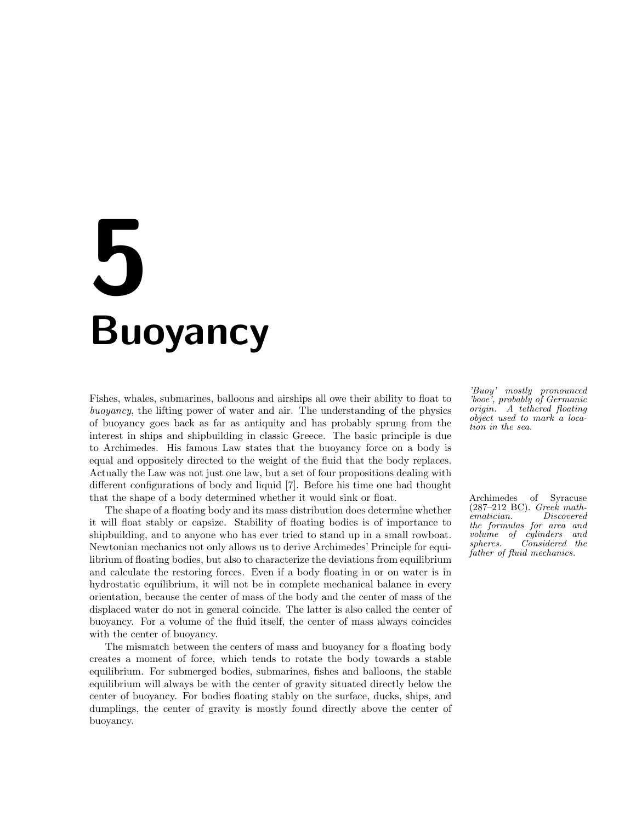# 5 Buoyancy

Fishes, whales, submarines, balloons and airships all owe their ability to float to buoyancy, the lifting power of water and air. The understanding of the physics of buoyancy goes back as far as antiquity and has probably sprung from the interest in ships and shipbuilding in classic Greece. The basic principle is due to Archimedes. His famous Law states that the buoyancy force on a body is equal and oppositely directed to the weight of the fluid that the body replaces. Actually the Law was not just one law, but a set of four propositions dealing with different configurations of body and liquid [7]. Before his time one had thought that the shape of a body determined whether it would sink or float. Archimedes of Syracuse

The shape of a floating body and its mass distribution does determine whether it will float stably or capsize. Stability of floating bodies is of importance to shipbuilding, and to anyone who has ever tried to stand up in a small rowboat. Newtonian mechanics not only allows us to derive Archimedes' Principle for equilibrium of floating bodies, but also to characterize the deviations from equilibrium and calculate the restoring forces. Even if a body floating in or on water is in hydrostatic equilibrium, it will not be in complete mechanical balance in every orientation, because the center of mass of the body and the center of mass of the displaced water do not in general coincide. The latter is also called the center of buoyancy. For a volume of the fluid itself, the center of mass always coincides with the center of buoyancy.

The mismatch between the centers of mass and buoyancy for a floating body creates a moment of force, which tends to rotate the body towards a stable equilibrium. For submerged bodies, submarines, fishes and balloons, the stable equilibrium will always be with the center of gravity situated directly below the center of buoyancy. For bodies floating stably on the surface, ducks, ships, and dumplings, the center of gravity is mostly found directly above the center of buoyancy.

'Buoy' mostly pronounced 'booe', probably of Germanic origin. A tethered floating object used to mark a location in the sea.

 $(287-212 \text{ BC})$ . Greek mathematician. Discovered the formulas for area and volume of cylinders and spheres. Considered the father of fluid mechanics.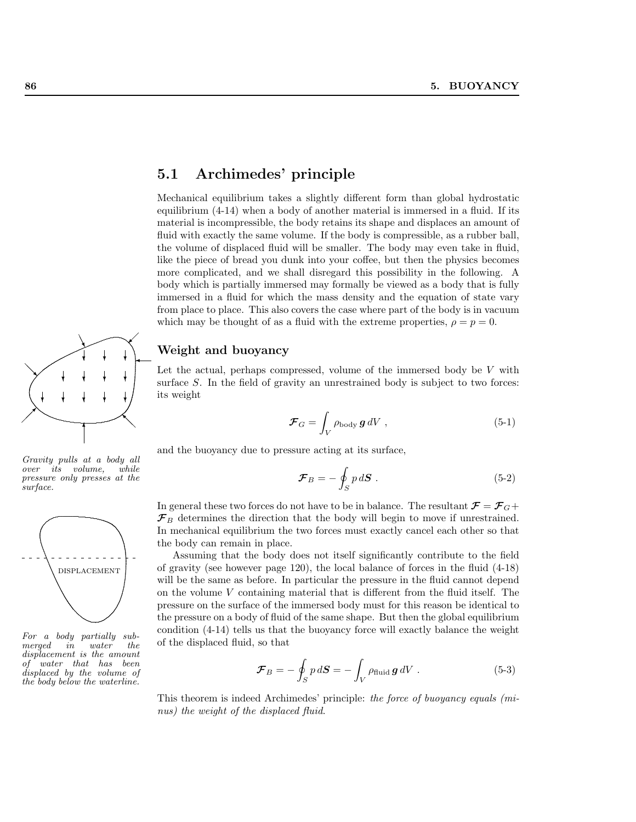#### $\diagup$ ✻ ❅■❅  $\overline{\phantom{0}}$  $\searrow$ ❅❅❘ . ............................................. . . ......... ..... ... ... ... ... . ❄ ❄ ❄ ❄ ❄ ❄ ❄ ❄ ❄ ❄ ❄ ❄

Gravity pulls at a body all  $over$   $its$   $volume$ , pressure only presses at the surface.



For a body partially submerged in water the displacement is the amount<br>of water that has been  $i$  water that has been displaced by the volume of the body below the waterline.

#### 5.1 Archimedes' principle

Mechanical equilibrium takes a slightly different form than global hydrostatic equilibrium (4-14) when a body of another material is immersed in a fluid. If its material is incompressible, the body retains its shape and displaces an amount of fluid with exactly the same volume. If the body is compressible, as a rubber ball, the volume of displaced fluid will be smaller. The body may even take in fluid, like the piece of bread you dunk into your coffee, but then the physics becomes more complicated, and we shall disregard this possibility in the following. A body which is partially immersed may formally be viewed as a body that is fully immersed in a fluid for which the mass density and the equation of state vary from place to place. This also covers the case where part of the body is in vacuum which may be thought of as a fluid with the extreme properties,  $\rho = p = 0$ .

#### Weight and buoyancy

Let the actual, perhaps compressed, volume of the immersed body be  $V$  with surface S. In the field of gravity an unrestrained body is subject to two forces: its weight

$$
\mathcal{F}_G = \int_V \rho_{\text{body}} \, g \, dV \tag{5-1}
$$

and the buoyancy due to pressure acting at its surface,

$$
\mathcal{F}_B = -\oint_S p \, d\mathbf{S} \; . \tag{5-2}
$$

In general these two forces do not have to be in balance. The resultant  $\mathcal{F} = \mathcal{F}_G +$  $\mathcal{F}_B$  determines the direction that the body will begin to move if unrestrained. In mechanical equilibrium the two forces must exactly cancel each other so that the body can remain in place.

Assuming that the body does not itself significantly contribute to the field of gravity (see however page 120), the local balance of forces in the fluid (4-18) will be the same as before. In particular the pressure in the fluid cannot depend on the volume  $V$  containing material that is different from the fluid itself. The pressure on the surface of the immersed body must for this reason be identical to the pressure on a body of fluid of the same shape. But then the global equilibrium condition (4-14) tells us that the buoyancy force will exactly balance the weight of the displaced fluid, so that

$$
\mathcal{F}_B = -\oint_S p \, d\mathbf{S} = -\int_V \rho_{\text{fluid}} \, \mathbf{g} \, dV \,. \tag{5-3}
$$

This theorem is indeed Archimedes' principle: the force of buoyancy equals (minus) the weight of the displaced fluid.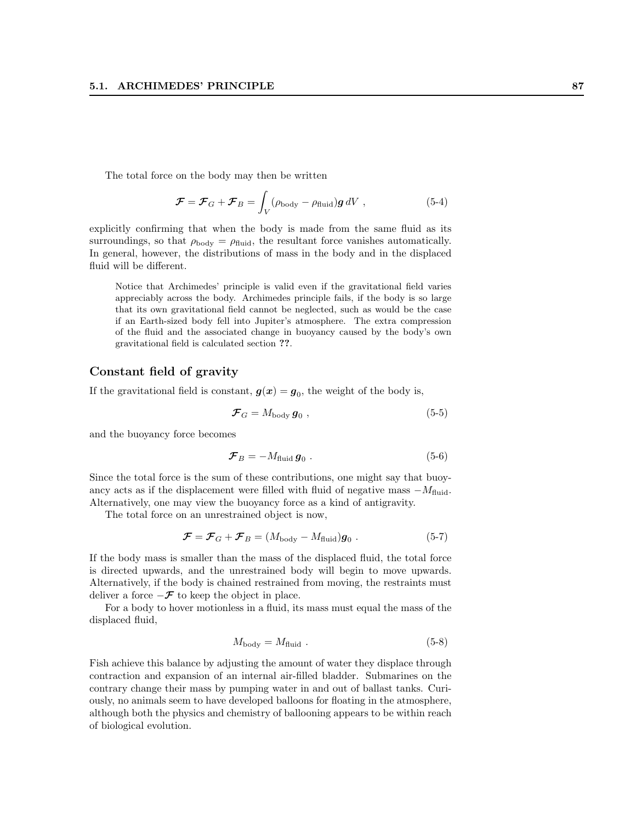The total force on the body may then be written

$$
\mathcal{F} = \mathcal{F}_G + \mathcal{F}_B = \int_V (\rho_{\text{body}} - \rho_{\text{fluid}}) \mathbf{g} \, dV , \qquad (5-4)
$$

explicitly confirming that when the body is made from the same fluid as its surroundings, so that  $\rho_{\text{body}} = \rho_{\text{fluid}}$ , the resultant force vanishes automatically. In general, however, the distributions of mass in the body and in the displaced fluid will be different.

Notice that Archimedes' principle is valid even if the gravitational field varies appreciably across the body. Archimedes principle fails, if the body is so large that its own gravitational field cannot be neglected, such as would be the case if an Earth-sized body fell into Jupiter's atmosphere. The extra compression of the fluid and the associated change in buoyancy caused by the body's own gravitational field is calculated section ??.

#### Constant field of gravity

If the gravitational field is constant,  $g(x) = g_0$ , the weight of the body is,

$$
\mathcal{F}_G = M_{\text{body}} \, \mathbf{g}_0 \;, \tag{5-5}
$$

and the buoyancy force becomes

$$
\mathcal{F}_B = -M_{\text{fluid}} \, \mathbf{g}_0 \; . \tag{5-6}
$$

Since the total force is the sum of these contributions, one might say that buoyancy acts as if the displacement were filled with fluid of negative mass  $-M_{\text{fluid}}$ . Alternatively, one may view the buoyancy force as a kind of antigravity.

The total force on an unrestrained object is now,

$$
\mathcal{F} = \mathcal{F}_G + \mathcal{F}_B = (M_{\text{body}} - M_{\text{fluid}}) \mathbf{g}_0 \ . \tag{5-7}
$$

If the body mass is smaller than the mass of the displaced fluid, the total force is directed upwards, and the unrestrained body will begin to move upwards. Alternatively, if the body is chained restrained from moving, the restraints must deliver a force  $-\mathcal{F}$  to keep the object in place.

For a body to hover motionless in a fluid, its mass must equal the mass of the displaced fluid,

$$
M_{\text{body}} = M_{\text{fluid}} \tag{5-8}
$$

Fish achieve this balance by adjusting the amount of water they displace through contraction and expansion of an internal air-filled bladder. Submarines on the contrary change their mass by pumping water in and out of ballast tanks. Curiously, no animals seem to have developed balloons for floating in the atmosphere, although both the physics and chemistry of ballooning appears to be within reach of biological evolution.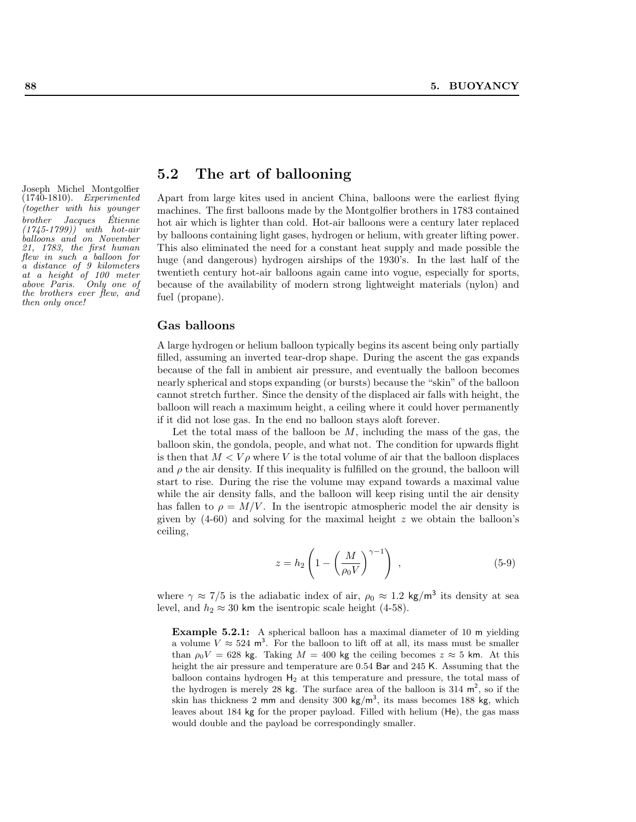Joseph Michel Montgolfier  $(1740-1810)$ . Experimented (together with his younger brother Jacques Etienne ´  $(1745-1799)$  with hot-air balloons and on November 21, 1783, the first human flew in such a balloon for a distance of 9 kilometers at a height of 100 meter above Paris. Only one of the brothers ever flew, and then only once!

#### 5.2 The art of ballooning

Apart from large kites used in ancient China, balloons were the earliest flying machines. The first balloons made by the Montgolfier brothers in 1783 contained hot air which is lighter than cold. Hot-air balloons were a century later replaced by balloons containing light gases, hydrogen or helium, with greater lifting power. This also eliminated the need for a constant heat supply and made possible the huge (and dangerous) hydrogen airships of the 1930's. In the last half of the twentieth century hot-air balloons again came into vogue, especially for sports, because of the availability of modern strong lightweight materials (nylon) and fuel (propane).

#### Gas balloons

A large hydrogen or helium balloon typically begins its ascent being only partially filled, assuming an inverted tear-drop shape. During the ascent the gas expands because of the fall in ambient air pressure, and eventually the balloon becomes nearly spherical and stops expanding (or bursts) because the "skin" of the balloon cannot stretch further. Since the density of the displaced air falls with height, the balloon will reach a maximum height, a ceiling where it could hover permanently if it did not lose gas. In the end no balloon stays aloft forever.

Let the total mass of the balloon be  $M$ , including the mass of the gas, the balloon skin, the gondola, people, and what not. The condition for upwards flight is then that  $M < V\rho$  where V is the total volume of air that the balloon displaces and  $\rho$  the air density. If this inequality is fulfilled on the ground, the balloon will start to rise. During the rise the volume may expand towards a maximal value while the air density falls, and the balloon will keep rising until the air density has fallen to  $\rho = M/V$ . In the isentropic atmospheric model the air density is given by  $(4-60)$  and solving for the maximal height z we obtain the balloon's ceiling,

$$
z = h_2 \left( 1 - \left( \frac{M}{\rho_0 V} \right)^{\gamma - 1} \right) , \qquad (5-9)
$$

where  $\gamma \approx 7/5$  is the adiabatic index of air,  $\rho_0 \approx 1.2 \text{ kg/m}^3$  its density at sea level, and  $h_2 \approx 30$  km the isentropic scale height (4-58).

Example 5.2.1: A spherical balloon has a maximal diameter of 10 m yielding a volume  $V \approx 524$  m<sup>3</sup>. For the balloon to lift off at all, its mass must be smaller than  $\rho_0 V = 628$  kg. Taking  $M = 400$  kg the ceiling becomes  $z \approx 5$  km. At this height the air pressure and temperature are 0.54 Bar and 245 K. Assuming that the balloon contains hydrogen  $H_2$  at this temperature and pressure, the total mass of the hydrogen is merely 28 kg. The surface area of the balloon is  $314 \text{ m}^2$ , so if the skin has thickness 2 mm and density 300 kg/m<sup>3</sup>, its mass becomes 188 kg, which leaves about 184 kg for the proper payload. Filled with helium (He), the gas mass would double and the payload be correspondingly smaller.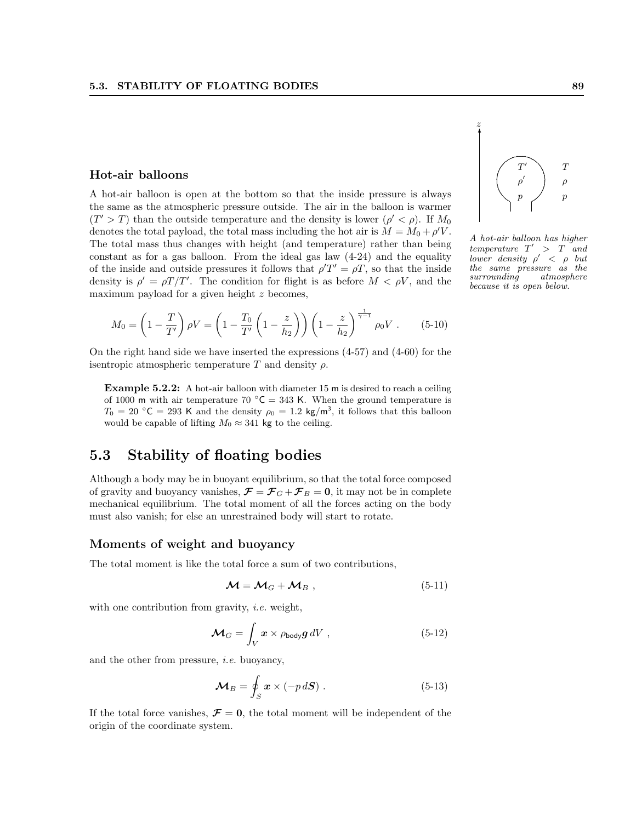#### Hot-air balloons

A hot-air balloon is open at the bottom so that the inside pressure is always the same as the atmospheric pressure outside. The air in the balloon is warmer  $(T' > T)$  than the outside temperature and the density is lower  $(\rho' < \rho)$ . If  $M_0$ denotes the total payload, the total mass including the hot air is  $M = M_0 + \rho' V$ . The total mass thus changes with height (and temperature) rather than being constant as for a gas balloon. From the ideal gas law (4-24) and the equality of the inside and outside pressures it follows that  $\rho' T' = \rho T$ , so that the inside density is  $\rho' = \rho T/T'$ . The condition for flight is as before  $M < \rho V$ , and the maximum payload for a given height z becomes,

$$
M_0 = \left(1 - \frac{T}{T'}\right)\rho V = \left(1 - \frac{T_0}{T'}\left(1 - \frac{z}{h_2}\right)\right)\left(1 - \frac{z}{h_2}\right)^{\frac{1}{\gamma - 1}}\rho_0 V . \tag{5-10}
$$

On the right hand side we have inserted the expressions (4-57) and (4-60) for the isentropic atmospheric temperature T and density  $\rho$ .

Example 5.2.2: A hot-air balloon with diameter 15 m is desired to reach a ceiling of 1000 m with air temperature 70  $°C = 343$  K. When the ground temperature is  $T_0 = 20$  °C = 293 K and the density  $\rho_0 = 1.2 \text{ kg/m}^3$ , it follows that this balloon would be capable of lifting  $M_0 \approx 341$  kg to the ceiling.

### 5.3 Stability of floating bodies

Although a body may be in buoyant equilibrium, so that the total force composed of gravity and buoyancy vanishes,  $\mathcal{F} = \mathcal{F}_G + \mathcal{F}_B = 0$ , it may not be in complete mechanical equilibrium. The total moment of all the forces acting on the body must also vanish; for else an unrestrained body will start to rotate.

#### Moments of weight and buoyancy

The total moment is like the total force a sum of two contributions,

$$
\mathcal{M} = \mathcal{M}_G + \mathcal{M}_B , \qquad (5-11)
$$

with one contribution from gravity, *i.e.* weight,

$$
\mathcal{M}_G = \int_V \boldsymbol{x} \times \rho_{\text{body}} \boldsymbol{g} \, dV \,, \tag{5-12}
$$

and the other from pressure, i.e. buoyancy,

$$
\mathcal{M}_B = \oint_S \mathbf{x} \times (-p \, d\mathbf{S}) \; . \tag{5-13}
$$

If the total force vanishes,  $\mathcal{F} = 0$ , the total moment will be independent of the origin of the coordinate system.



z

A hot-air balloon has higher temperature  $T' > T$  and lower density  $\rho' < \rho$  but the same pressure as the surrounding atmosphere because it is open below.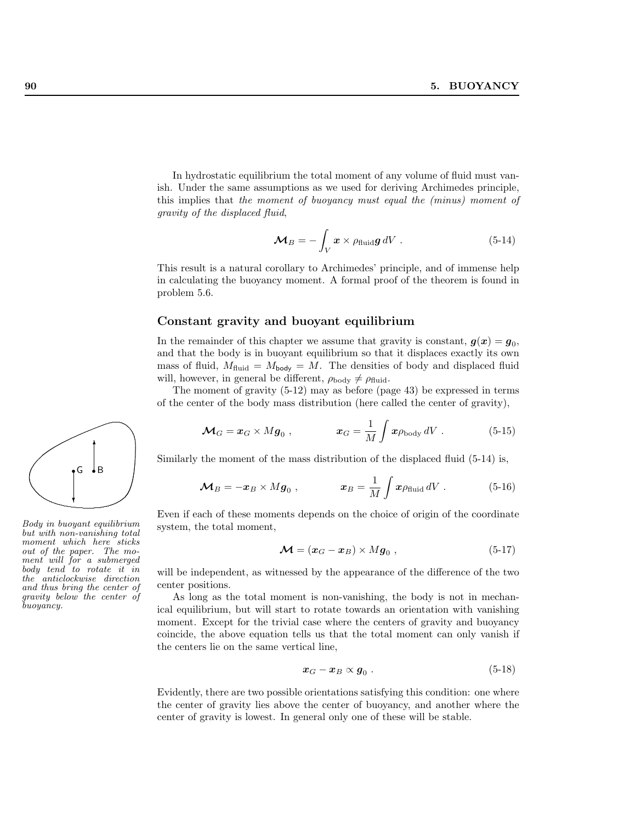In hydrostatic equilibrium the total moment of any volume of fluid must vanish. Under the same assumptions as we used for deriving Archimedes principle, this implies that the moment of buoyancy must equal the (minus) moment of gravity of the displaced fluid,

$$
\mathcal{M}_B = -\int_V \boldsymbol{x} \times \rho_{\text{fluid}} \boldsymbol{g} \, dV \,. \tag{5-14}
$$

This result is a natural corollary to Archimedes' principle, and of immense help in calculating the buoyancy moment. A formal proof of the theorem is found in problem 5.6.

#### Constant gravity and buoyant equilibrium

In the remainder of this chapter we assume that gravity is constant,  $g(x) = g_0$ , and that the body is in buoyant equilibrium so that it displaces exactly its own mass of fluid,  $M_{\text{fluid}} = M_{\text{body}} = M$ . The densities of body and displaced fluid will, however, in general be different,  $\rho_{\text{body}} \neq \rho_{\text{fluid}}$ .

The moment of gravity (5-12) may as before (page 43) be expressed in terms of the center of the body mass distribution (here called the center of gravity),

$$
\mathcal{M}_G = \mathbf{x}_G \times M\mathbf{g}_0 , \qquad \qquad \mathbf{x}_G = \frac{1}{M} \int \mathbf{x} \rho_{\text{body}} \, dV . \qquad (5-15)
$$

Similarly the moment of the mass distribution of the displaced fluid (5-14) is,

$$
\mathcal{M}_B = -\boldsymbol{x}_B \times M\boldsymbol{g}_0 , \qquad \qquad \boldsymbol{x}_B = \frac{1}{M} \int \boldsymbol{x} \rho_{\text{fluid}} \, dV . \qquad (5-16)
$$

Even if each of these moments depends on the choice of origin of the coordinate system, the total moment,

$$
\mathcal{M} = (\mathbf{x}_G - \mathbf{x}_B) \times M\mathbf{g}_0 , \qquad (5-17)
$$

will be independent, as witnessed by the appearance of the difference of the two center positions.

As long as the total moment is non-vanishing, the body is not in mechanical equilibrium, but will start to rotate towards an orientation with vanishing moment. Except for the trivial case where the centers of gravity and buoyancy coincide, the above equation tells us that the total moment can only vanish if the centers lie on the same vertical line,

$$
x_G - x_B \propto g_0 \; . \tag{5-18}
$$

Evidently, there are two possible orientations satisfying this condition: one where the center of gravity lies above the center of buoyancy, and another where the center of gravity is lowest. In general only one of these will be stable.



Body in buoyant equilibrium but with non-vanishing total moment which here sticks out of the paper. The moment will for a submerged body tend to rotate it in the anticlockwise direction and thus bring the center of gravity below the center of buoyancy.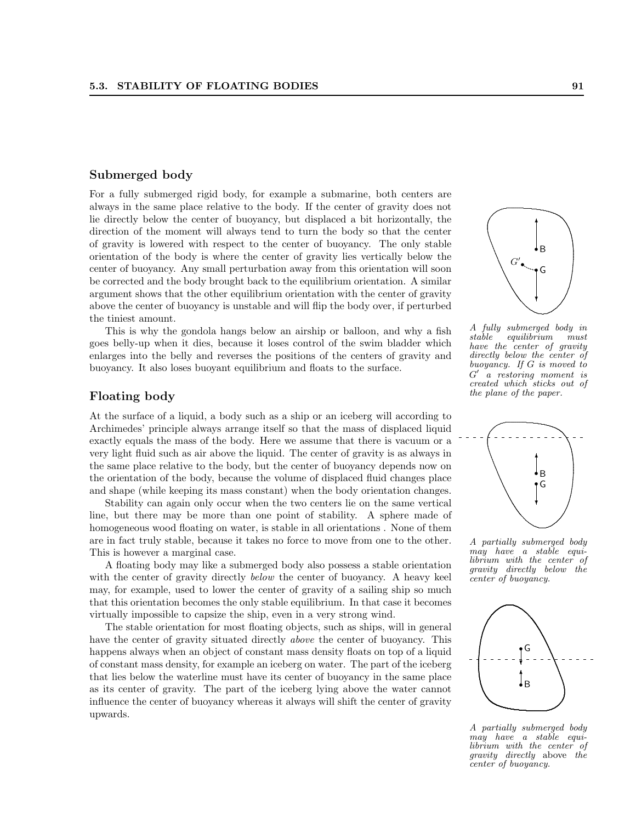#### Submerged body

For a fully submerged rigid body, for example a submarine, both centers are always in the same place relative to the body. If the center of gravity does not lie directly below the center of buoyancy, but displaced a bit horizontally, the direction of the moment will always tend to turn the body so that the center of gravity is lowered with respect to the center of buoyancy. The only stable orientation of the body is where the center of gravity lies vertically below the center of buoyancy. Any small perturbation away from this orientation will soon be corrected and the body brought back to the equilibrium orientation. A similar argument shows that the other equilibrium orientation with the center of gravity above the center of buoyancy is unstable and will flip the body over, if perturbed the tiniest amount.

This is why the gondola hangs below an airship or balloon, and why a fish goes belly-up when it dies, because it loses control of the swim bladder which enlarges into the belly and reverses the positions of the centers of gravity and buoyancy. It also loses buoyant equilibrium and floats to the surface.

#### Floating body

At the surface of a liquid, a body such as a ship or an iceberg will according to Archimedes' principle always arrange itself so that the mass of displaced liquid exactly equals the mass of the body. Here we assume that there is vacuum or a very light fluid such as air above the liquid. The center of gravity is as always in the same place relative to the body, but the center of buoyancy depends now on the orientation of the body, because the volume of displaced fluid changes place and shape (while keeping its mass constant) when the body orientation changes.

Stability can again only occur when the two centers lie on the same vertical line, but there may be more than one point of stability. A sphere made of homogeneous wood floating on water, is stable in all orientations . None of them are in fact truly stable, because it takes no force to move from one to the other. This is however a marginal case.

A floating body may like a submerged body also possess a stable orientation with the center of gravity directly *below* the center of buoyancy. A heavy keel may, for example, used to lower the center of gravity of a sailing ship so much that this orientation becomes the only stable equilibrium. In that case it becomes virtually impossible to capsize the ship, even in a very strong wind.

The stable orientation for most floating objects, such as ships, will in general have the center of gravity situated directly above the center of buoyancy. This happens always when an object of constant mass density floats on top of a liquid of constant mass density, for example an iceberg on water. The part of the iceberg that lies below the waterline must have its center of buoyancy in the same place as its center of gravity. The part of the iceberg lying above the water cannot influence the center of buoyancy whereas it always will shift the center of gravity upwards.



A fully submerged body in  $equilibrium$  must have the center of gravity directly below the center of buoyancy. If G is moved to G 0 a restoring moment is created which sticks out of the plane of the paper.



A partially submerged body may have a stable equilibrium with the center of gravity directly below the center of buoyancy.



A partially submerged body may have a stable equilibrium with the center of gravity directly above the center of buoyancy.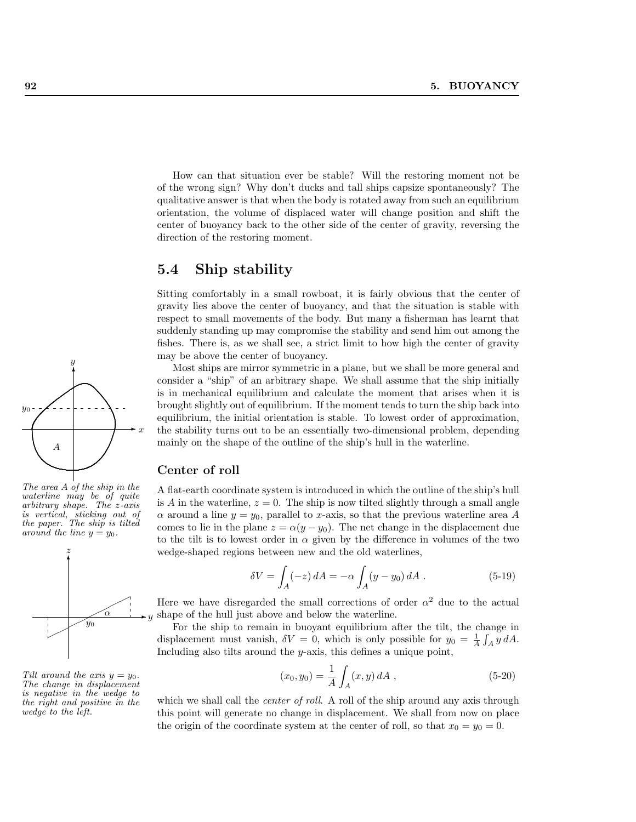How can that situation ever be stable? Will the restoring moment not be of the wrong sign? Why don't ducks and tall ships capsize spontaneously? The qualitative answer is that when the body is rotated away from such an equilibrium orientation, the volume of displaced water will change position and shift the center of buoyancy back to the other side of the center of gravity, reversing the direction of the restoring moment.

#### 5.4 Ship stability

Sitting comfortably in a small rowboat, it is fairly obvious that the center of gravity lies above the center of buoyancy, and that the situation is stable with respect to small movements of the body. But many a fisherman has learnt that suddenly standing up may compromise the stability and send him out among the fishes. There is, as we shall see, a strict limit to how high the center of gravity may be above the center of buoyancy.

Most ships are mirror symmetric in a plane, but we shall be more general and consider a "ship" of an arbitrary shape. We shall assume that the ship initially is in mechanical equilibrium and calculate the moment that arises when it is brought slightly out of equilibrium. If the moment tends to turn the ship back into equilibrium, the initial orientation is stable. To lowest order of approximation, the stability turns out to be an essentially two-dimensional problem, depending mainly on the shape of the outline of the ship's hull in the waterline.

#### Center of roll

A flat-earth coordinate system is introduced in which the outline of the ship's hull is A in the waterline,  $z = 0$ . The ship is now tilted slightly through a small angle  $\alpha$  around a line  $y = y_0$ , parallel to x-axis, so that the previous waterline area A comes to lie in the plane  $z = \alpha(y - y_0)$ . The net change in the displacement due to the tilt is to lowest order in  $\alpha$  given by the difference in volumes of the two wedge-shaped regions between new and the old waterlines,

$$
\delta V = \int_{A} (-z) dA = -\alpha \int_{A} (y - y_0) dA . \qquad (5-19)
$$

Here we have disregarded the small corrections of order  $\alpha^2$  due to the actual shape of the hull just above and below the waterline.

For the ship to remain in buoyant equilibrium after the tilt, the change in displacement must vanish,  $\delta V = 0$ , which is only possible for  $y_0 = \frac{1}{A} \int_A y \, dA$ . Including also tilts around the y-axis, this defines a unique point,

$$
(x_0, y_0) = \frac{1}{A} \int_A (x, y) dA , \qquad (5-20)
$$

which we shall call the *center of roll*. A roll of the ship around any axis through this point will generate no change in displacement. We shall from now on place the origin of the coordinate system at the center of roll, so that  $x_0 = y_0 = 0$ .



The area A of the ship in the waterline may be of quite arbitrary shape. The z-axis is vertical, sticking out of the paper. The ship is tilted around the line  $y = y_0$ .



Tilt around the axis  $y = y_0$ . The change in displacement is negative in the wedge to the right and positive in the wedge to the left.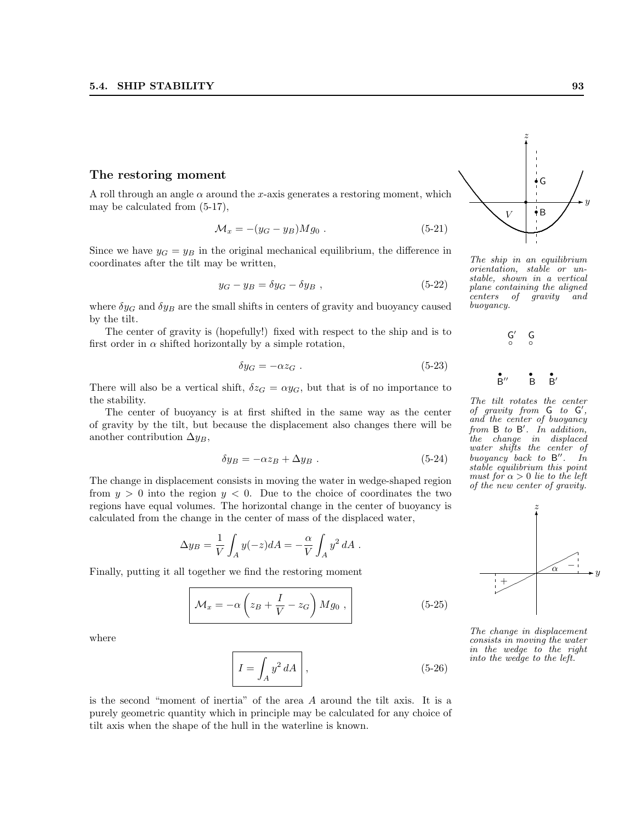#### The restoring moment

A roll through an angle  $\alpha$  around the x-axis generates a restoring moment, which may be calculated from (5-17),

$$
\mathcal{M}_x = -(y_G - y_B)Mg_0 \tag{5-21}
$$

Since we have  $y_G = y_B$  in the original mechanical equilibrium, the difference in coordinates after the tilt may be written,

$$
y_G - y_B = \delta y_G - \delta y_B , \qquad (5-22)
$$

where  $\delta y_G$  and  $\delta y_B$  are the small shifts in centers of gravity and buoyancy caused by the tilt.

The center of gravity is (hopefully!) fixed with respect to the ship and is to first order in  $\alpha$  shifted horizontally by a simple rotation,

$$
\delta y_G = -\alpha z_G \tag{5-23}
$$

There will also be a vertical shift,  $\delta z_G = \alpha y_G$ , but that is of no importance to the stability.

The center of buoyancy is at first shifted in the same way as the center of gravity by the tilt, but because the displacement also changes there will be another contribution  $\Delta y_B$ ,

$$
\delta y_B = -\alpha z_B + \Delta y_B \tag{5-24}
$$

The change in displacement consists in moving the water in wedge-shaped region from  $y > 0$  into the region  $y < 0$ . Due to the choice of coordinates the two regions have equal volumes. The horizontal change in the center of buoyancy is calculated from the change in the center of mass of the displaced water,

$$
\Delta y_B = \frac{1}{V} \int_A y(-z) dA = -\frac{\alpha}{V} \int_A y^2 dA.
$$

Finally, putting it all together we find the restoring moment

$$
\mathcal{M}_x = -\alpha \left( z_B + \frac{I}{V} - z_G \right) M g_0 , \qquad (5-25)
$$

where

$$
I = \int_{A} y^2 dA \,, \tag{5-26}
$$

is the second "moment of inertia" of the area A around the tilt axis. It is a purely geometric quantity which in principle may be calculated for any choice of tilt axis when the shape of the hull in the waterline is known.



The ship in an equilibrium orientation, stable or unstable, shown in a vertical plane containing the aligned centers of gravity and buoyancy.



The tilt rotates the center of gravity from  $G$  to  $G'$ , and the center of buoyancy from  $B$  to  $B'$ . In addition, the change in displaced water shifts the center of buoyancy back to  $B''$ . In stable equilibrium this point must for  $\alpha > 0$  lie to the left of the new center of gravity.



The change in displacement consists in moving the water in the wedge to the right into the wedge to the left.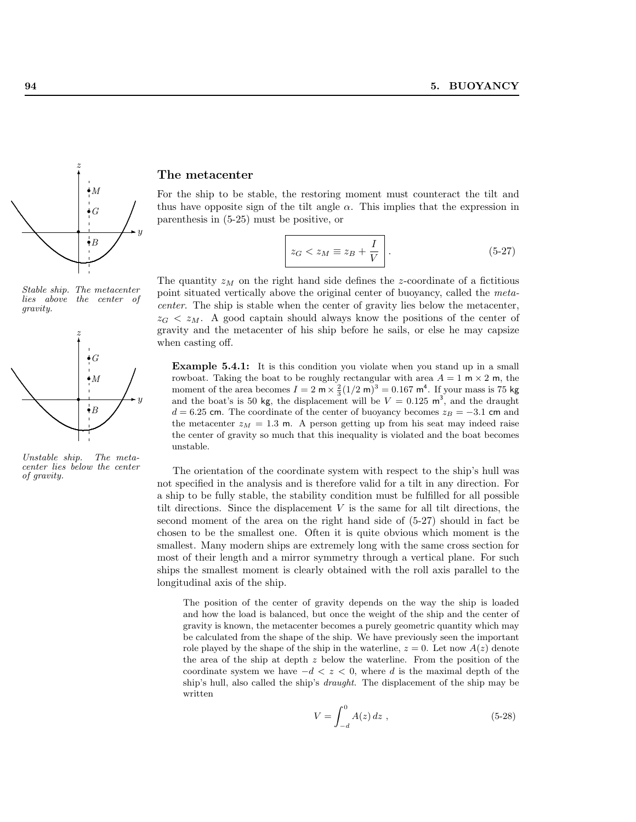

## The metacenter

For the ship to be stable, the restoring moment must counteract the tilt and thus have opposite sign of the tilt angle  $\alpha$ . This implies that the expression in parenthesis in (5-25) must be positive, or

$$
z_G < z_M \equiv z_B + \frac{I}{V} \tag{5-27}
$$

The quantity  $z_M$  on the right hand side defines the z-coordinate of a fictitious point situated vertically above the original center of buoyancy, called the metacenter. The ship is stable when the center of gravity lies below the metacenter,  $z_G < z_M$ . A good captain should always know the positions of the center of gravity and the metacenter of his ship before he sails, or else he may capsize when casting off.

Example 5.4.1: It is this condition you violate when you stand up in a small rowboat. Taking the boat to be roughly rectangular with area  $A = 1$  m  $\times$  2 m, the moment of the area becomes  $I = 2 \text{ m} \times \frac{2}{3} (1/2 \text{ m})^3 = 0.167 \text{ m}^4$ . If your mass is 75 kg and the boat's is 50 kg, the displacement will be  $V = 0.125$  m<sup>3</sup>, and the draught  $d = 6.25$  cm. The coordinate of the center of buoyancy becomes  $z_B = -3.1$  cm and the metacenter  $z_M = 1.3$  m. A person getting up from his seat may indeed raise the center of gravity so much that this inequality is violated and the boat becomes unstable.

The orientation of the coordinate system with respect to the ship's hull was not specified in the analysis and is therefore valid for a tilt in any direction. For a ship to be fully stable, the stability condition must be fulfilled for all possible tilt directions. Since the displacement  $V$  is the same for all tilt directions, the second moment of the area on the right hand side of (5-27) should in fact be chosen to be the smallest one. Often it is quite obvious which moment is the smallest. Many modern ships are extremely long with the same cross section for most of their length and a mirror symmetry through a vertical plane. For such ships the smallest moment is clearly obtained with the roll axis parallel to the longitudinal axis of the ship.

The position of the center of gravity depends on the way the ship is loaded and how the load is balanced, but once the weight of the ship and the center of gravity is known, the metacenter becomes a purely geometric quantity which may be calculated from the shape of the ship. We have previously seen the important role played by the shape of the ship in the waterline,  $z = 0$ . Let now  $A(z)$  denote the area of the ship at depth  $z$  below the waterline. From the position of the coordinate system we have  $-d < z < 0$ , where d is the maximal depth of the ship's hull, also called the ship's draught. The displacement of the ship may be written

$$
V = \int_{-d}^{0} A(z) dz , \qquad (5-28)
$$





Unstable ship. The metacenter lies below the center of gravity.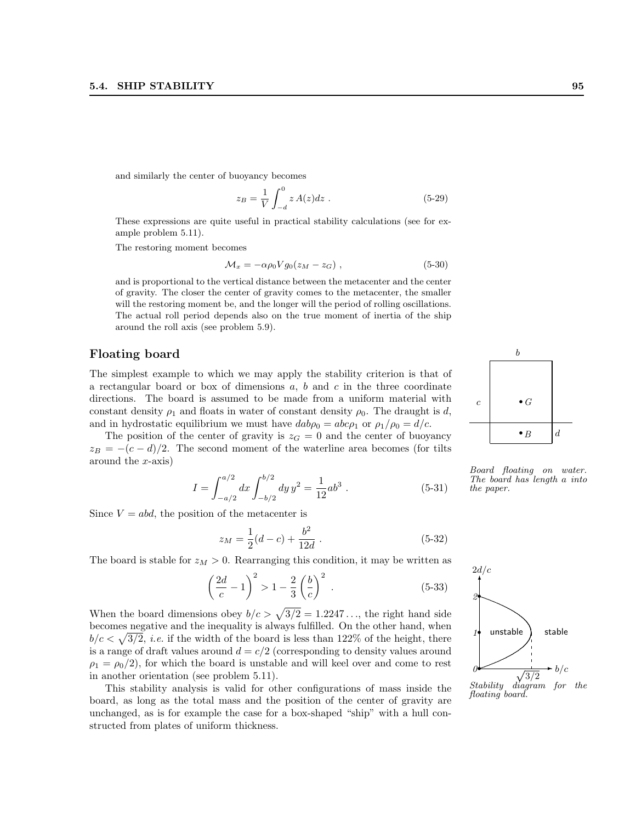and similarly the center of buoyancy becomes

$$
z_B = \frac{1}{V} \int_{-d}^{0} z A(z) dz . \tag{5-29}
$$

These expressions are quite useful in practical stability calculations (see for example problem 5.11).

The restoring moment becomes

$$
\mathcal{M}_x = -\alpha \rho_0 V g_0 (z_M - z_G) , \qquad (5-30)
$$

and is proportional to the vertical distance between the metacenter and the center of gravity. The closer the center of gravity comes to the metacenter, the smaller will the restoring moment be, and the longer will the period of rolling oscillations. The actual roll period depends also on the true moment of inertia of the ship around the roll axis (see problem 5.9).

#### Floating board

The simplest example to which we may apply the stability criterion is that of a rectangular board or box of dimensions  $a, b$  and  $c$  in the three coordinate directions. The board is assumed to be made from a uniform material with constant density  $\rho_1$  and floats in water of constant density  $\rho_0$ . The draught is d, and in hydrostatic equilibrium we must have  $dab\rho_0 = abc\rho_1$  or  $\rho_1/\rho_0 = d/c$ .

The position of the center of gravity is  $z_G = 0$  and the center of buoyancy  $z_B = -(c - d)/2$ . The second moment of the waterline area becomes (for tilts around the  $x$ -axis)

$$
I = \int_{-a/2}^{a/2} dx \int_{-b/2}^{b/2} dy y^2 = \frac{1}{12} ab^3
$$
 (5-31) *Board the*  
The board *The*

Since  $V = abd$ , the position of the metacenter is

$$
z_M = \frac{1}{2}(d-c) + \frac{b^2}{12d} \tag{5-32}
$$

The board is stable for  $z_M > 0$ . Rearranging this condition, it may be written as

$$
\left(\frac{2d}{c} - 1\right)^2 > 1 - \frac{2}{3} \left(\frac{b}{c}\right)^2 \tag{5-33}
$$

When the board dimensions obey  $b/c > \sqrt{3/2} = 1.2247...$ , the right hand side becomes negative and the inequality is always fulfilled. On the other hand, when becomes negative and the inequality is always fulfilled. On the other hand, when  $b/c < \sqrt{3}/2$ , *i.e.* if the width of the board is less than 122% of the height, there is a range of draft values around  $d = c/2$  (corresponding to density values around  $\rho_1 = \rho_0/2$ , for which the board is unstable and will keel over and come to rest in another orientation (see problem 5.11).

This stability analysis is valid for other configurations of mass inside the *Stability diag*<br>floating board. board, as long as the total mass and the position of the center of gravity are unchanged, as is for example the case for a box-shaped "ship" with a hull constructed from plates of uniform thickness.





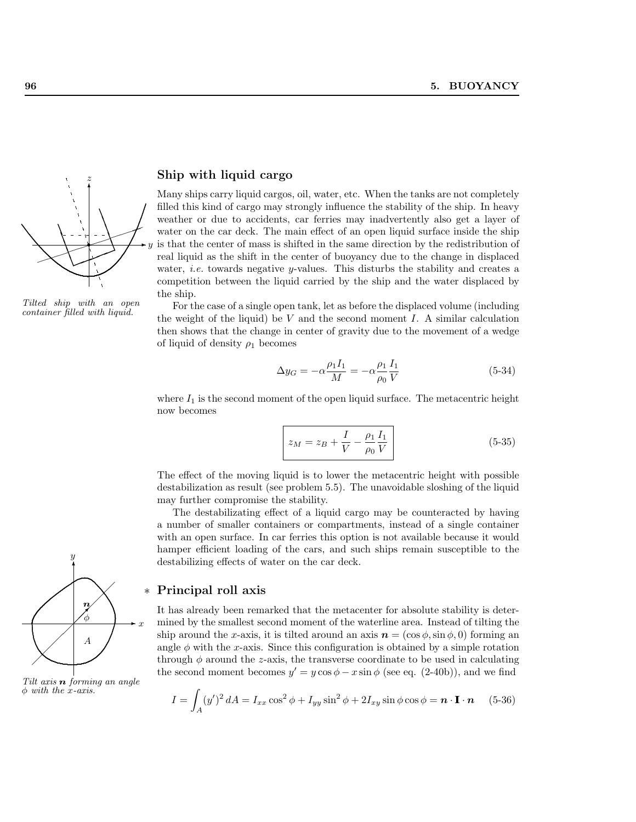(5-34)



Tilted ship with an open<br>container filled with liquid.

where  $I_1$  is the second moment of the open liquid surface. The metacentric height now becomes

 $\Delta y_G = -\alpha \frac{\rho_1 I_1}{\Lambda}$ 

For the case of a single open tank, let as before the displaced volume (including the weight of the liquid) be  $V$  and the second moment  $I$ . A similar calculation then shows that the change in center of gravity due to the movement of a wedge

 $\frac{\rho_1 I_1}{M} = -\alpha \frac{\rho_1}{\rho_0}$ 

 $\rho_0$  $I_1$ V

$$
z_M = z_B + \frac{I}{V} - \frac{\rho_1}{\rho_0} \frac{I_1}{V}
$$
 (5-35)

The effect of the moving liquid is to lower the metacentric height with possible destabilization as result (see problem 5.5). The unavoidable sloshing of the liquid may further compromise the stability.

The destabilizating effect of a liquid cargo may be counteracted by having a number of smaller containers or compartments, instead of a single container with an open surface. In car ferries this option is not available because it would hamper efficient loading of the cars, and such ships remain susceptible to the destabilizing effects of water on the car deck.

#### ∗ Principal roll axis

of liquid of density  $\rho_1$  becomes

It has already been remarked that the metacenter for absolute stability is determined by the smallest second moment of the waterline area. Instead of tilting the ship around the x-axis, it is tilted around an axis  $n = (\cos \phi, \sin \phi, 0)$  forming an angle  $\phi$  with the x-axis. Since this configuration is obtained by a simple rotation through  $\phi$  around the z-axis, the transverse coordinate to be used in calculating the second moment becomes  $y' = y \cos \phi - x \sin \phi$  (see eq. (2-40b)), and we find

$$
I = \int_A (y')^2 dA = I_{xx} \cos^2 \phi + I_{yy} \sin^2 \phi + 2I_{xy} \sin \phi \cos \phi = \mathbf{n} \cdot \mathbf{I} \cdot \mathbf{n} \quad (5-36)
$$



Tilt axis n forming an angle  $\phi$  with the x-axis.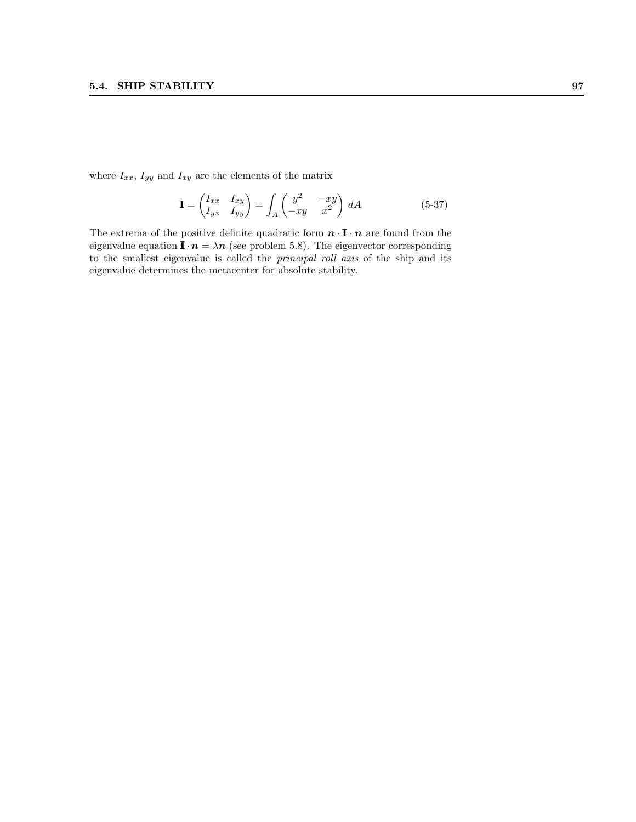where  $I_{xx}$ ,  $I_{yy}$  and  $I_{xy}$  are the elements of the matrix

$$
\mathbf{I} = \begin{pmatrix} I_{xx} & I_{xy} \\ I_{yx} & I_{yy} \end{pmatrix} = \int_A \begin{pmatrix} y^2 & -xy \\ -xy & x^2 \end{pmatrix} \, dA \tag{5-37}
$$

The extrema of the positive definite quadratic form  $\boldsymbol{n}\cdot\mathbf{I}\cdot\boldsymbol{n}$  are found from the eigenvalue equation  $\mathbf{I} \cdot \mathbf{n} = \lambda \mathbf{n}$  (see problem 5.8). The eigenvector corresponding to the smallest eigenvalue is called the principal roll axis of the ship and its eigenvalue determines the metacenter for absolute stability.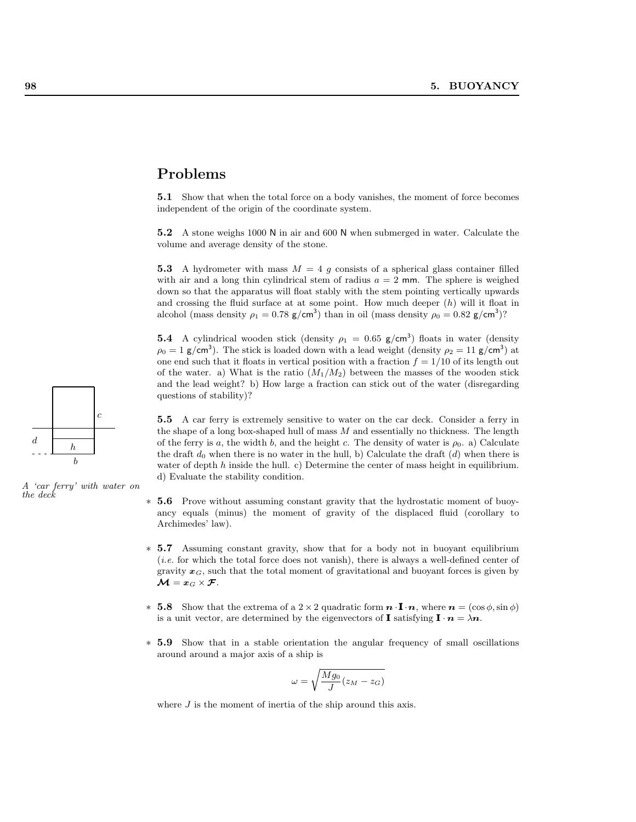#### Problems

5.1 Show that when the total force on a body vanishes, the moment of force becomes independent of the origin of the coordinate system.

5.2 A stone weighs 1000 N in air and 600 N when submerged in water. Calculate the volume and average density of the stone.

5.3 A hydrometer with mass  $M = 4$  g consists of a spherical glass container filled with air and a long thin cylindrical stem of radius  $a = 2$  mm. The sphere is weighed down so that the apparatus will float stably with the stem pointing vertically upwards and crossing the fluid surface at at some point. How much deeper  $(h)$  will it float in alcohol (mass density  $\rho_1 = 0.78$  g/cm<sup>3</sup>) than in oil (mass density  $\rho_0 = 0.82$  g/cm<sup>3</sup>)?

**5.4** A cylindrical wooden stick (density  $\rho_1 = 0.65$  g/cm<sup>3</sup>) floats in water (density  $\rho_0 = 1$  g/cm<sup>3</sup>). The stick is loaded down with a lead weight (density  $\rho_2 = 11$  g/cm<sup>3</sup>) at one end such that it floats in vertical position with a fraction  $f = 1/10$  of its length out of the water. a) What is the ratio  $(M_1/M_2)$  between the masses of the wooden stick and the lead weight? b) How large a fraction can stick out of the water (disregarding questions of stability)?

5.5 A car ferry is extremely sensitive to water on the car deck. Consider a ferry in the shape of a long box-shaped hull of mass  $M$  and essentially no thickness. The length of the ferry is a, the width b, and the height c. The density of water is  $\rho_0$ . a) Calculate the draft  $d_0$  when there is no water in the hull, b) Calculate the draft  $(d)$  when there is water of depth  $h$  inside the hull. c) Determine the center of mass height in equilibrium. d) Evaluate the stability condition.

- ∗ 5.6 Prove without assuming constant gravity that the hydrostatic moment of buoyancy equals (minus) the moment of gravity of the displaced fluid (corollary to Archimedes' law).
- ∗ 5.7 Assuming constant gravity, show that for a body not in buoyant equilibrium (i.e. for which the total force does not vanish), there is always a well-defined center of gravity  $x_G$ , such that the total moment of gravitational and buoyant forces is given by  $\mathcal{M} = x_G \times \mathcal{F}.$
- **\*** 5.8 Show that the extrema of a 2 × 2 quadratic form  $\mathbf{n} \cdot \mathbf{l} \cdot \mathbf{n}$ , where  $\mathbf{n} = (\cos \phi, \sin \phi)$ is a unit vector, are determined by the eigenvectors of **I** satisfying  $\mathbf{I} \cdot \mathbf{n} = \lambda \mathbf{n}$ .
- ∗ 5.9 Show that in a stable orientation the angular frequency of small oscillations around around a major axis of a ship is

$$
\omega=\sqrt{\frac{Mg_0}{J}(z_M-z_G)}
$$

where  $J$  is the moment of inertia of the ship around this axis.



A 'car ferry' with water on the deck